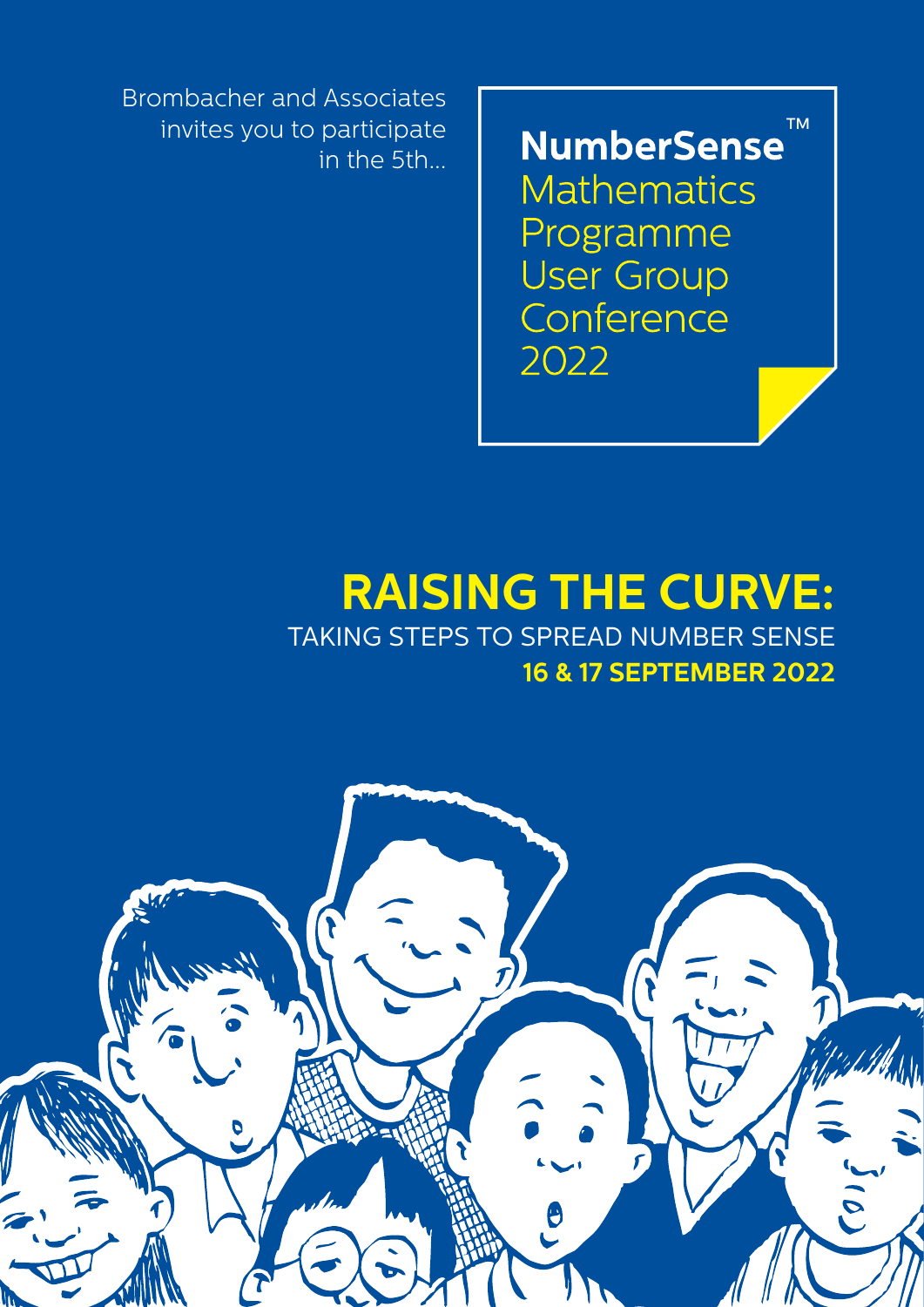NumberSense<sup>™</sup> **Mathematics** Programme **User Group** Conference 2022

Brombacher and Associates invites you to participate in the 5th...

# **RAISING THE CURVE:** TAKING STEPS TO SPREAD NUMBER SENSE **16 & 17 SEPTEMBER 2022**

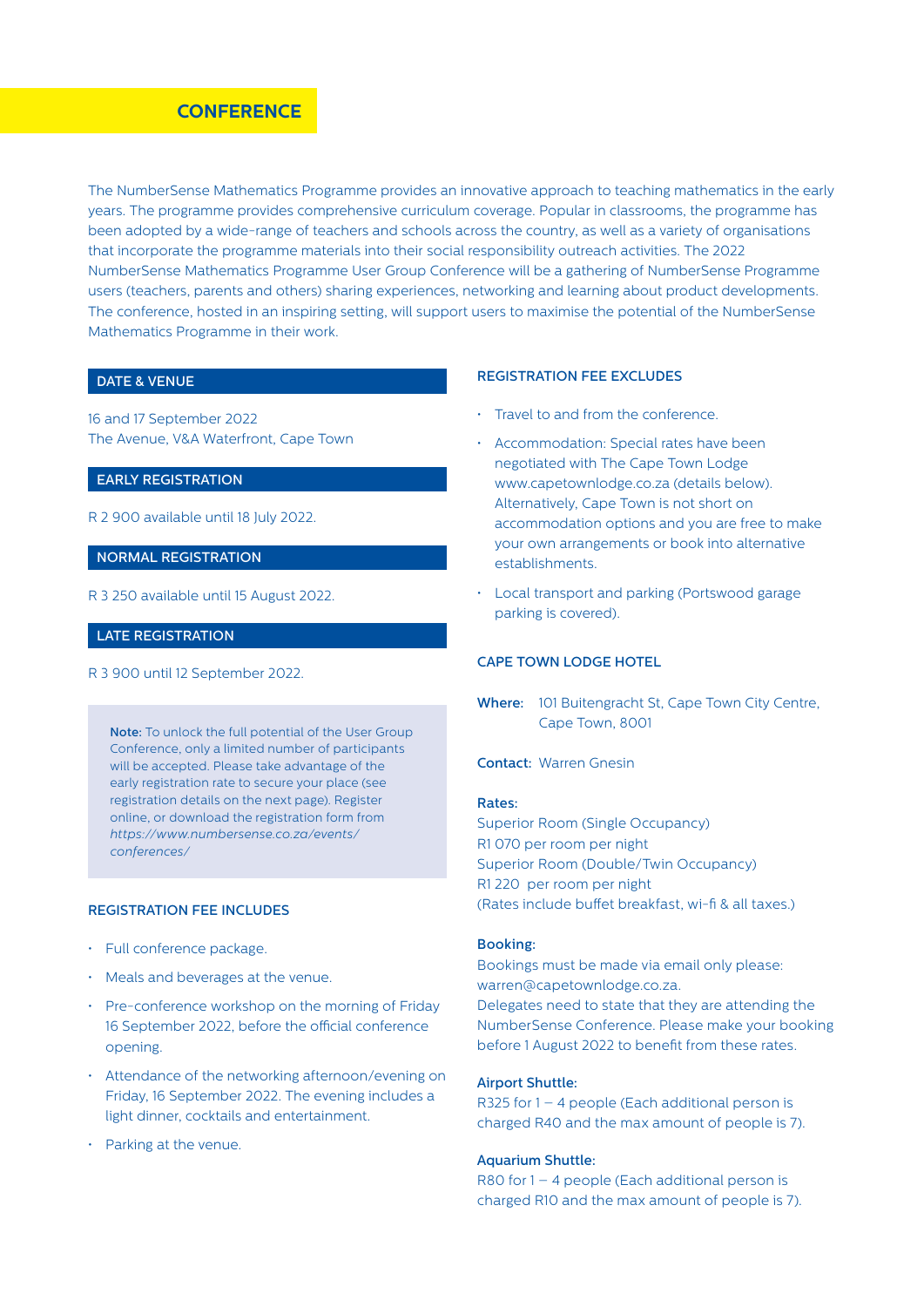### **CONFERENCE PROGRAMMENT CONFERENCE**

The NumberSense Mathematics Programme provides an innovative approach to teaching mathematics in the early years. The programme provides comprehensive curriculum coverage. Popular in classrooms, the programme has been adopted by a wide-range of teachers and schools across the country, as well as a variety of organisations that incorporate the programme materials into their social responsibility outreach activities. The 2022 NumberSense Mathematics Programme User Group Conference will be a gathering of NumberSense Programme users (teachers, parents and others) sharing experiences, networking and learning about product developments. The conference, hosted in an inspiring setting, will support users to maximise the potential of the NumberSense Mathematics Programme in their work.

### DATE & VENUE

16 and 17 September 2022 The Avenue, V&A Waterfront, Cape Town

#### EARLY REGISTRATION

R 2 900 available until 18 July 2022.

#### NORMAL REGISTRATION

R 3 250 available until 15 August 2022.

### LATE REGISTRATION

R 3 900 until 12 September 2022.

Note: To unlock the full potential of the User Group Conference, only a limited number of participants will be accepted. Please take advantage of the early registration rate to secure your place (see registration details on the next page). Register online, or download the registration form from *https://www.numbersense.co.za/events/ conferences/*

#### REGISTRATION FEE INCLUDES

- Full conference package.
- Meals and beverages at the venue.
- Pre-conference workshop on the morning of Friday 16 September 2022, before the official conference opening.
- Attendance of the networking afternoon/evening on Friday, 16 September 2022. The evening includes a light dinner, cocktails and entertainment.
- Parking at the venue.

#### REGISTRATION FEE EXCLUDES

- Travel to and from the conference.
- Accommodation: Special rates have been negotiated with The Cape Town Lodge www.capetownlodge.co.za (details below). Alternatively, Cape Town is not short on accommodation options and you are free to make your own arrangements or book into alternative establishments.
- Local transport and parking (Portswood garage parking is covered).

#### CAPE TOWN LODGE HOTEL

Where: 101 Buitengracht St, Cape Town City Centre, Cape Town, 8001

Contact: Warren Gnesin

#### Rates:

Superior Room (Single Occupancy) R1 070 per room per night Superior Room (Double/Twin Occupancy) R1 220 per room per night (Rates include buffet breakfast, wi-fi & all taxes.)

#### Booking:

Bookings must be made via email only please: warren@capetownlodge.co.za. Delegates need to state that they are attending the NumberSense Conference. Please make your booking before 1 August 2022 to benefit from these rates.

#### Airport Shuttle:

R325 for  $1 - 4$  people (Each additional person is charged R40 and the max amount of people is 7).

#### Aquarium Shuttle:

R80 for 1 – 4 people (Each additional person is charged R10 and the max amount of people is 7).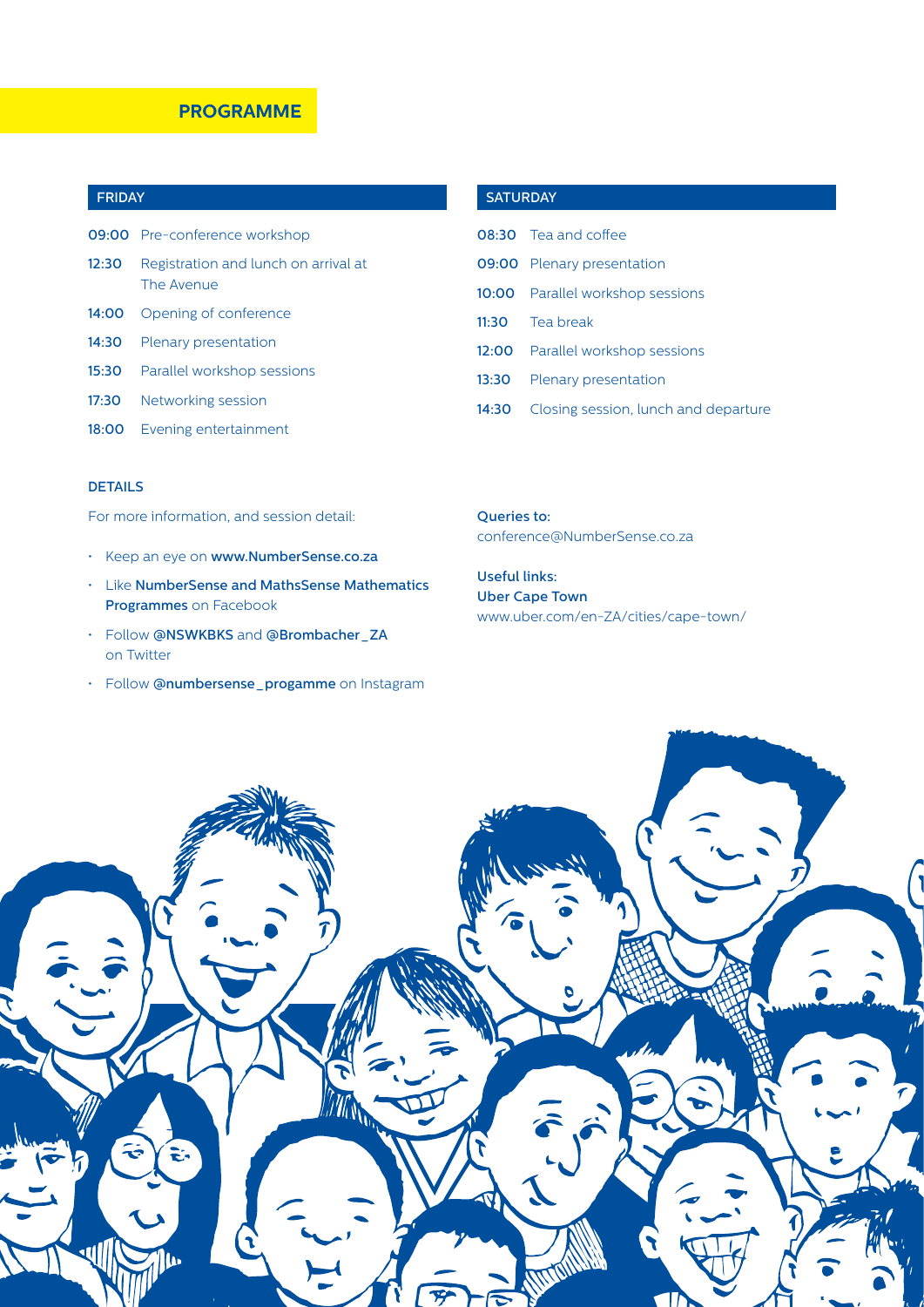### **PROGRAMME**

### FRIDAY

|       | 09:00 Pre-conference workshop                      |
|-------|----------------------------------------------------|
| 12:30 | Registration and lunch on arrival at<br>The Avenue |
|       | 14:00 Opening of conference                        |
|       | 14:30 Plenary presentation                         |
|       | <b>15:30</b> Parallel workshop sessions            |
|       | 17:30 Networking session                           |
| 18:00 | Evening entertainment                              |

### DETAILS

For more information, and session detail:

- Keep an eye on www.NumberSense.co.za
- Like NumberSense and MathsSense Mathematics Programmes on Facebook
- Follow @NSWKBKS and @Brombacher\_ZA on Twitter
- Follow @numbersense\_progamme on Instagram

### **SATURDAY**

|       | $08.30$ Tea and coffee                  |
|-------|-----------------------------------------|
|       | <b>09:00</b> Plenary presentation       |
|       | <b>10:00</b> Parallel workshop sessions |
|       | 11:30 Tea break                         |
|       | <b>12:00</b> Parallel workshop sessions |
| 13:30 | Plenary presentation                    |
| 14:30 | Closing session, lunch and departure    |

Queries to: conference@NumberSense.co.za

Useful links: Uber Cape Town www.uber.com/en-ZA/cities/cape-town/